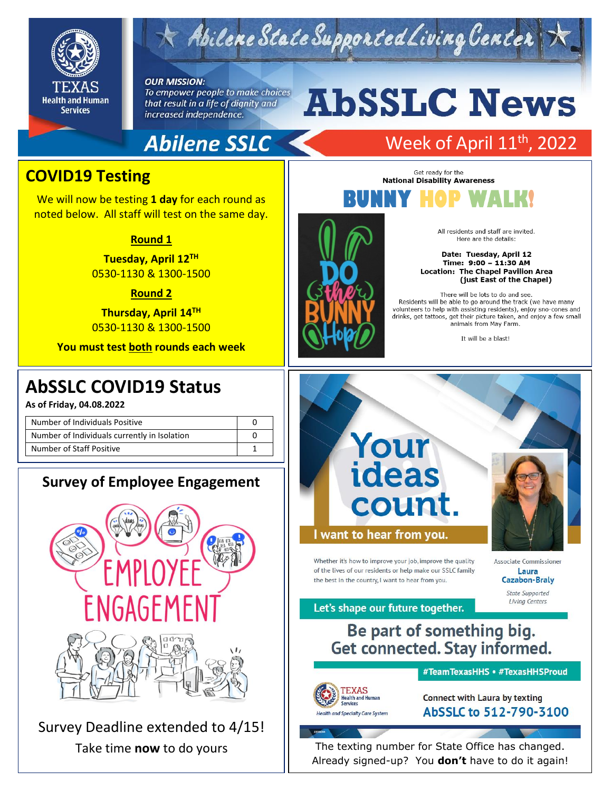

## Abilene State Supported Living Center

#### **OUR MISSION:**

To empower people to make choices that result in a life of dignity and increased independence.

# **AbSSLC News**

Get ready for the **National Disability Awareness** 

## **Abilene SSLC**

## Week of April 11<sup>th</sup>, 2022

## **COVID19 Testing**

We will now be testing **1 day** for each round as noted below. All staff will test on the same day.

#### **Round 1**

**Tuesday, April 12TH** 0530-1130 & 1300-1500

#### **Round 2**

**Thursday, April 14TH** 0530-1130 & 1300-1500

**You must test both rounds each week**

## 2019 **AbSSLC COVID19 Status**

**As of Friday, 04.08.2022**

| Number of Individuals Positive               |  |
|----------------------------------------------|--|
| Number of Individuals currently in Isolation |  |
| Number of Staff Positive                     |  |

## **Survey of Employee Engagement**



Survey Deadline extended to 4/15!





There will be lots to do and see. Residents will be able to go around the track (we have many volunteers to help with assisting residents), enjoy sno-cones and drinks, get tattoos, get their picture taken, and enjoy a few small animals from May Farm.

(just East of the Chapel)

It will be a blast!



of the lives of our residents or help make our SSLC family the best in the country. I want to hear from you

**Associate Commissione** Laura **Cazabon-Braly State Supported** 

**Living Centers** 

Let's shape our future together.

## Be part of something big. **Get connected. Stay informed.**



#TeamTexasHHS • #TexasHHSProud

**Connect with Laura by texting** AbSSLC to 512-790-3100

Take time **now** to do yours  $\vert\vert$  The texting number for State Office has changed. Already signed-up? You **don't** have to do it again!